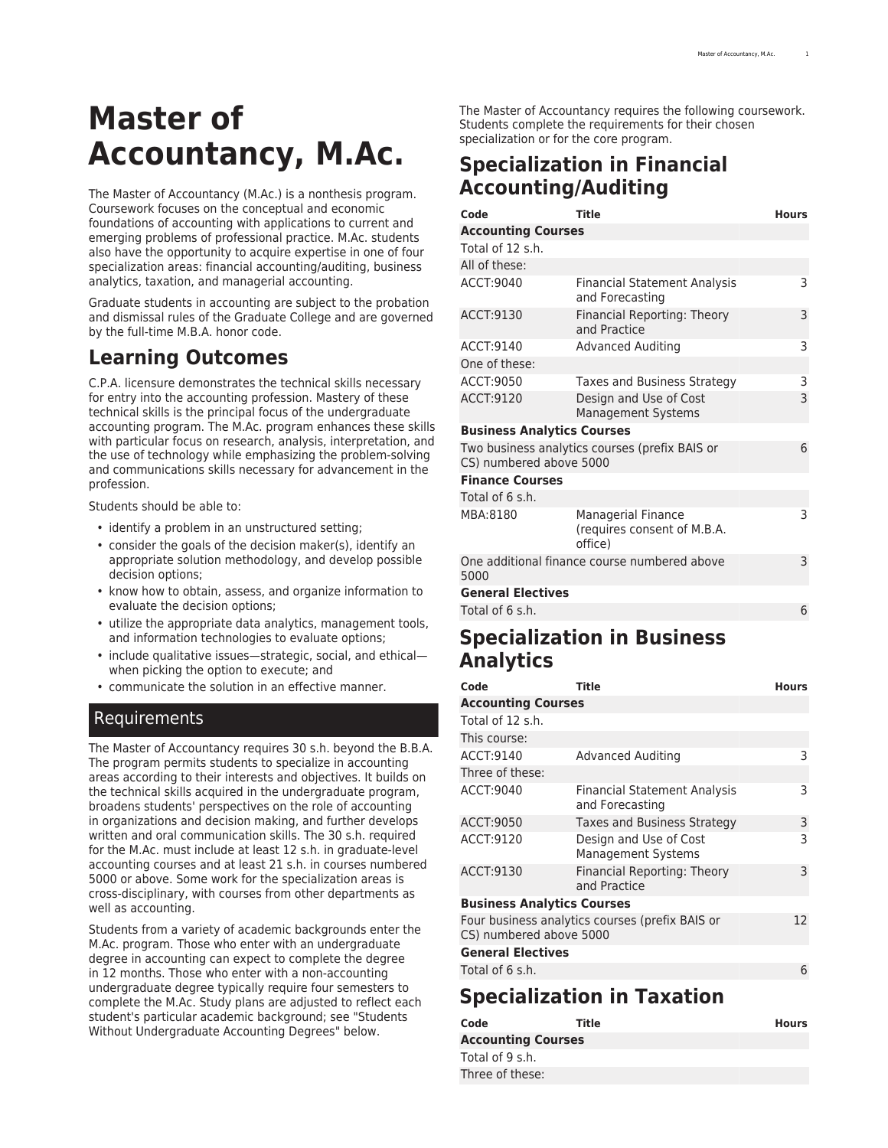# **Master of Accountancy, M.Ac.**

The Master of Accountancy (M.Ac.) is a nonthesis program. Coursework focuses on the conceptual and economic foundations of accounting with applications to current and emerging problems of professional practice. M.Ac. students also have the opportunity to acquire expertise in one of four specialization areas: financial accounting/auditing, business analytics, taxation, and managerial accounting.

Graduate students in accounting are subject to the probation and dismissal rules of the Graduate College and are governed by the full-time M.B.A. honor code.

## **Learning Outcomes**

C.P.A. licensure demonstrates the technical skills necessary for entry into the accounting profession. Mastery of these technical skills is the principal focus of the undergraduate accounting program. The M.Ac. program enhances these skills with particular focus on research, analysis, interpretation, and the use of technology while emphasizing the problem-solving and communications skills necessary for advancement in the profession.

Students should be able to:

- identify a problem in an unstructured setting;
- consider the goals of the decision maker(s), identify an appropriate solution methodology, and develop possible decision options;
- know how to obtain, assess, and organize information to evaluate the decision options;
- utilize the appropriate data analytics, management tools, and information technologies to evaluate options;
- include qualitative issues—strategic, social, and ethical when picking the option to execute; and
- communicate the solution in an effective manner.

#### Requirements

The Master of Accountancy requires 30 s.h. beyond the B.B.A. The program permits students to specialize in accounting areas according to their interests and objectives. It builds on the technical skills acquired in the undergraduate program, broadens students' perspectives on the role of accounting in organizations and decision making, and further develops written and oral communication skills. The 30 s.h. required for the M.Ac. must include at least 12 s.h. in graduate-level accounting courses and at least 21 s.h. in courses numbered 5000 or above. Some work for the specialization areas is cross-disciplinary, with courses from other departments as well as accounting.

Students from a variety of academic backgrounds enter the M.Ac. program. Those who enter with an undergraduate degree in accounting can expect to complete the degree in 12 months. Those who enter with a non-accounting undergraduate degree typically require four semesters to complete the M.Ac. Study plans are adjusted to reflect each student's particular academic background; see "Students Without Undergraduate Accounting Degrees" below.

The Master of Accountancy requires the following coursework. Students complete the requirements for their chosen specialization or for the core program.

## **Specialization in Financial Accounting/Auditing**

| Code                                                                           | <b>Title</b>                                                        | <b>Hours</b> |  |
|--------------------------------------------------------------------------------|---------------------------------------------------------------------|--------------|--|
| <b>Accounting Courses</b>                                                      |                                                                     |              |  |
| Total of 12 s.h.                                                               |                                                                     |              |  |
| All of these:                                                                  |                                                                     |              |  |
| ACCT: 9040                                                                     | <b>Financial Statement Analysis</b><br>and Forecasting              | 3            |  |
| ACCT:9130                                                                      | Financial Reporting: Theory<br>and Practice                         | 3            |  |
| ACCT:9140                                                                      | <b>Advanced Auditing</b>                                            | 3            |  |
| One of these:                                                                  |                                                                     |              |  |
| ACCT: 9050                                                                     | Taxes and Business Strategy                                         | 3            |  |
| ACCT:9120                                                                      | Design and Use of Cost<br><b>Management Systems</b>                 | 3            |  |
| <b>Business Analytics Courses</b>                                              |                                                                     |              |  |
| Two business analytics courses (prefix BAIS or<br>6<br>CS) numbered above 5000 |                                                                     |              |  |
| <b>Finance Courses</b>                                                         |                                                                     |              |  |
| Total of 6 s.h.                                                                |                                                                     |              |  |
| MBA:8180                                                                       | <b>Managerial Finance</b><br>(requires consent of M.B.A.<br>office) | 3            |  |
| 5000                                                                           | One additional finance course numbered above                        | 3            |  |
| <b>General Electives</b>                                                       |                                                                     |              |  |
| Total of 6 s.h.                                                                |                                                                     | 6            |  |

### **Specialization in Business Analytics**

| Code                              | <b>Title</b>                                           | <b>Hours</b> |  |
|-----------------------------------|--------------------------------------------------------|--------------|--|
| <b>Accounting Courses</b>         |                                                        |              |  |
| Total of 12 s.h.                  |                                                        |              |  |
| This course:                      |                                                        |              |  |
| ACCT:9140                         | <b>Advanced Auditing</b>                               | 3            |  |
| Three of these:                   |                                                        |              |  |
| ACCT:9040                         | <b>Financial Statement Analysis</b><br>and Forecasting | 3            |  |
| ACCT:9050                         | <b>Taxes and Business Strategy</b>                     | 3            |  |
| ACCT:9120                         | Design and Use of Cost<br><b>Management Systems</b>    | 3            |  |
| ACCT:9130                         | <b>Financial Reporting: Theory</b><br>and Practice     | 3            |  |
| <b>Business Analytics Courses</b> |                                                        |              |  |
| CS) numbered above 5000           | Four business analytics courses (prefix BAIS or        | 12           |  |
| <b>General Electives</b>          |                                                        |              |  |
| Total of 6 s.h.                   |                                                        | 6            |  |
|                                   |                                                        |              |  |

## **Specialization in Taxation**

| Code                      | Title | <b>Hours</b> |
|---------------------------|-------|--------------|
| <b>Accounting Courses</b> |       |              |
| Total of 9 s.h.           |       |              |
| Three of these:           |       |              |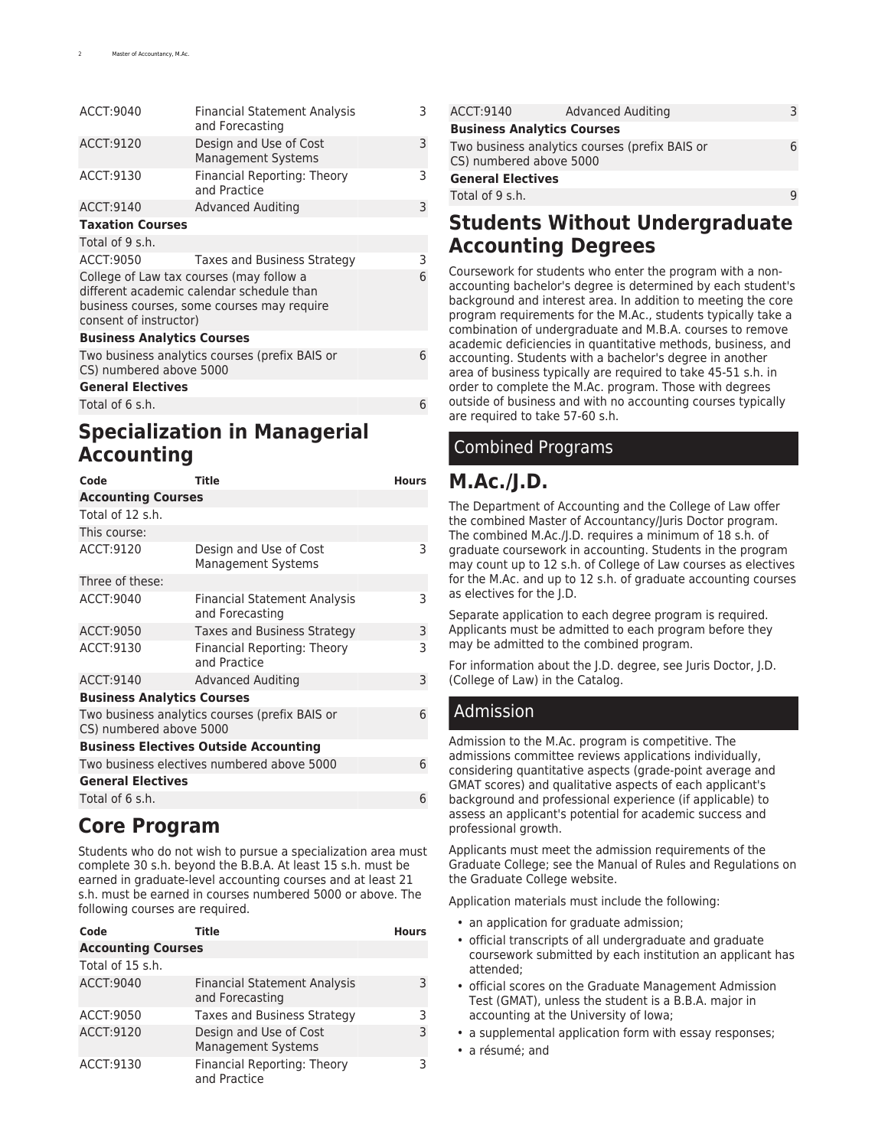| <b>Financial Statement Analysis</b><br>and Forecasting                                                                                                             | 3 |  |  |
|--------------------------------------------------------------------------------------------------------------------------------------------------------------------|---|--|--|
| Design and Use of Cost<br><b>Management Systems</b>                                                                                                                | 3 |  |  |
| Financial Reporting: Theory<br>and Practice                                                                                                                        | 3 |  |  |
| <b>Advanced Auditing</b>                                                                                                                                           | 3 |  |  |
|                                                                                                                                                                    |   |  |  |
|                                                                                                                                                                    |   |  |  |
| Taxes and Business Strategy                                                                                                                                        | 3 |  |  |
| College of Law tax courses (may follow a<br>6<br>different academic calendar schedule than<br>business courses, some courses may require<br>consent of instructor) |   |  |  |
| <b>Business Analytics Courses</b>                                                                                                                                  |   |  |  |
| Two business analytics courses (prefix BAIS or<br>CS) numbered above 5000                                                                                          |   |  |  |
| <b>General Electives</b>                                                                                                                                           |   |  |  |
|                                                                                                                                                                    | 6 |  |  |
|                                                                                                                                                                    |   |  |  |

#### **Specialization in Managerial Accounting**

| Code                                                                      | Title                                                  | <b>Hours</b> |  |
|---------------------------------------------------------------------------|--------------------------------------------------------|--------------|--|
| <b>Accounting Courses</b>                                                 |                                                        |              |  |
| Total of 12 s.h.                                                          |                                                        |              |  |
| This course:                                                              |                                                        |              |  |
| ACCT:9120                                                                 | Design and Use of Cost<br><b>Management Systems</b>    | 3            |  |
| Three of these:                                                           |                                                        |              |  |
| ACCT: 9040                                                                | <b>Financial Statement Analysis</b><br>and Forecasting | 3            |  |
| ACCT: 9050                                                                | Taxes and Business Strategy                            | 3            |  |
| ACCT:9130                                                                 | Financial Reporting: Theory<br>and Practice            | 3            |  |
| ACCT:9140                                                                 | <b>Advanced Auditing</b>                               | 3            |  |
| <b>Business Analytics Courses</b>                                         |                                                        |              |  |
| Two business analytics courses (prefix BAIS or<br>CS) numbered above 5000 |                                                        |              |  |
|                                                                           | <b>Business Electives Outside Accounting</b>           |              |  |
|                                                                           | Two business electives numbered above 5000             | 6            |  |
| <b>General Electives</b>                                                  |                                                        |              |  |
| Total of 6 s.h.                                                           |                                                        | 6            |  |

## **Core Program**

Students who do not wish to pursue a specialization area must complete 30 s.h. beyond the B.B.A. At least 15 s.h. must be earned in graduate-level accounting courses and at least 21 s.h. must be earned in courses numbered 5000 or above. The following courses are required.

| Code                      | Title                                                  | <b>Hours</b> |
|---------------------------|--------------------------------------------------------|--------------|
| <b>Accounting Courses</b> |                                                        |              |
| Total of 15 s.h.          |                                                        |              |
| ACCT:9040                 | <b>Financial Statement Analysis</b><br>and Forecasting |              |
| ACCT: 9050                | Taxes and Business Strategy                            | ٦            |
| ACCT:9120                 | Design and Use of Cost<br><b>Management Systems</b>    | ς            |
| ACCT:9130                 | Financial Reporting: Theory<br>and Practice            |              |

| ACCT:9140                         | <b>Advanced Auditing</b>                       |  | 3 |
|-----------------------------------|------------------------------------------------|--|---|
| <b>Business Analytics Courses</b> |                                                |  |   |
| CS) numbered above 5000           | Two business analytics courses (prefix BAIS or |  | 6 |
| <b>General Electives</b>          |                                                |  |   |
| Total of 9 s.h.                   |                                                |  | q |

## **Students Without Undergraduate Accounting Degrees**

Coursework for students who enter the program with a nonaccounting bachelor's degree is determined by each student's background and interest area. In addition to meeting the core program requirements for the M.Ac., students typically take a combination of undergraduate and M.B.A. courses to remove academic deficiencies in quantitative methods, business, and accounting. Students with a bachelor's degree in another area of business typically are required to take 45-51 s.h. in order to complete the M.Ac. program. Those with degrees outside of business and with no accounting courses typically are required to take 57-60 s.h.

### Combined Programs

### **M.Ac./J.D.**

The Department of Accounting and the College of Law offer the combined Master of Accountancy/Juris Doctor program. The combined M.Ac./J.D. requires a minimum of 18 s.h. of graduate coursework in accounting. Students in the program may count up to 12 s.h. of College of Law courses as electives for the M.Ac. and up to 12 s.h. of graduate accounting courses as electives for the J.D.

Separate application to each degree program is required. Applicants must be admitted to each program before they may be admitted to the combined program.

For information about the J.D. degree, see [Juris Doctor, J.D.](http://catalog.registrar.uiowa.edu/law/juris-doctor/) (College of Law) in the Catalog.

#### Admission

Admission to the M.Ac. program is competitive. The admissions committee reviews applications individually, considering quantitative aspects (grade-point average and GMAT scores) and qualitative aspects of each applicant's background and professional experience (if applicable) to assess an applicant's potential for academic success and professional growth.

Applicants must meet the admission requirements of the Graduate College; see the [Manual of Rules and Regulations](https://grad.uiowa.edu/academics/manual/) on the Graduate College website.

Application materials must include the following:

- an [application](https://apply.admissions.uiowa.edu/admissions/login.page) for graduate admission;
- official transcripts of all undergraduate and graduate coursework submitted by each institution an applicant has attended;
- official scores on the [Graduate Management Admission](https://www.gmac.com/) [Test](https://www.gmac.com/) (GMAT), unless the student is a B.B.A. major in accounting at the University of Iowa;
- a supplemental application form with essay responses;
- a résumé; and